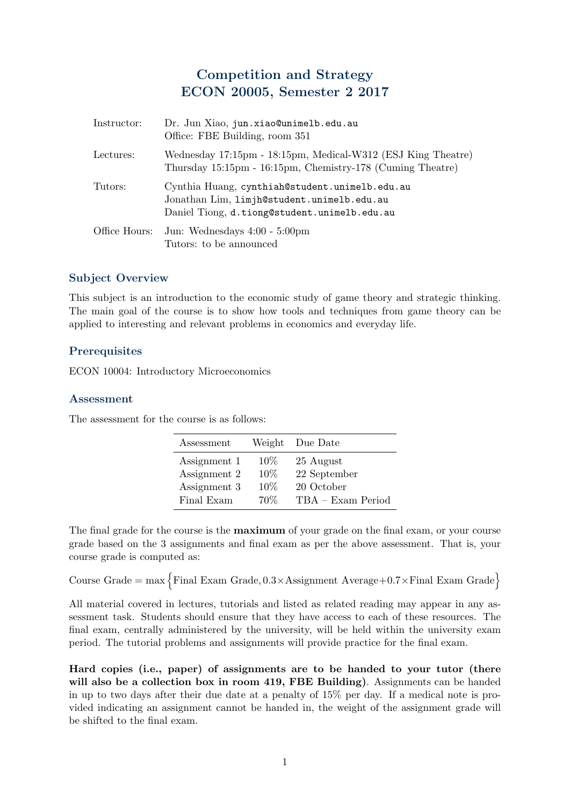# Competition and Strategy ECON 20005, Semester 2 2017

| Instructor:   | Dr. Jun Xiao, jun.xiao@unimelb.edu.au<br>Office: FBE Building, room 351                                                                      |
|---------------|----------------------------------------------------------------------------------------------------------------------------------------------|
| Lectures:     | Wednesday 17:15pm - 18:15pm, Medical-W312 (ESJ King Theatre)<br>Thursday 15:15pm - 16:15pm, Chemistry-178 (Cuming Theatre)                   |
| Tutors:       | Cynthia Huang, cynthiah@student.unimelb.edu.au<br>Jonathan Lim, limjh@student.unimelb.edu.au<br>Daniel Tiong, d.tiong@student.unimelb.edu.au |
| Office Hours: | Jun: Wednesdays $4:00 - 5:00 \text{pm}$<br>Tutors: to be announced                                                                           |

## Subject Overview

This subject is an introduction to the economic study of game theory and strategic thinking. The main goal of the course is to show how tools and techniques from game theory can be applied to interesting and relevant problems in economics and everyday life.

### **Prerequisites**

ECON 10004: Introductory Microeconomics

#### Assessment

The assessment for the course is as follows:

| Assessment   |        | Weight Due Date      |
|--------------|--------|----------------------|
| Assignment 1 | 10\%   | 25 August            |
| Assignment 2 | 10%    | 22 September         |
| Assignment 3 | $10\%$ | 20 October           |
| Final Exam   | 70\%   | $TBA - Exam\ Period$ |

The final grade for the course is the **maximum** of your grade on the final exam, or your course grade based on the 3 assignments and final exam as per the above assessment. That is, your course grade is computed as:

Course Grade =  $\max \{$  Final Exam Grade, 0.3×Assignment Average+0.7×Final Exam Grade $\}$ 

All material covered in lectures, tutorials and listed as related reading may appear in any assessment task. Students should ensure that they have access to each of these resources. The final exam, centrally administered by the university, will be held within the university exam period. The tutorial problems and assignments will provide practice for the final exam.

Hard copies (i.e., paper) of assignments are to be handed to your tutor (there will also be a collection box in room 419, FBE Building). Assignments can be handed in up to two days after their due date at a penalty of 15% per day. If a medical note is provided indicating an assignment cannot be handed in, the weight of the assignment grade will be shifted to the final exam.